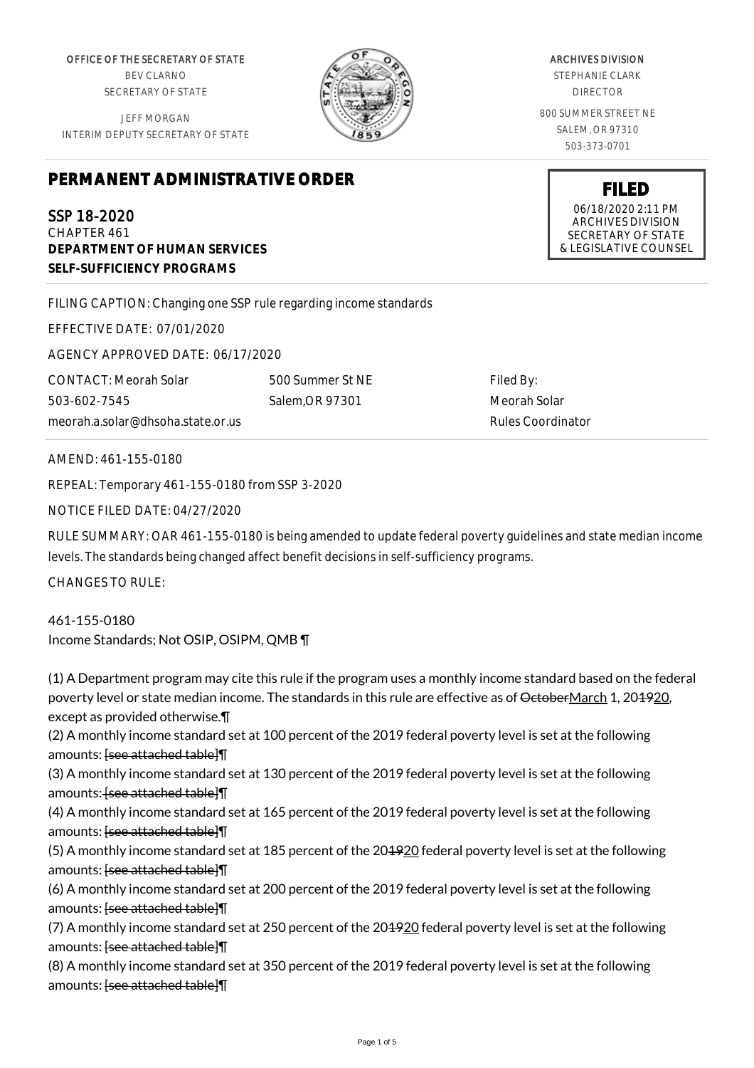OFFICE OF THE SECRETARY OF STATE BEV CLARNO SECRETARY OF STATE

JEFF MORGAN INTERIM DEPUTY SECRETARY OF STATE

## **PERMANENT ADMINISTRATIVE ORDER**

SSP 18-2020 CHAPTER 461 **DEPARTMENT OF HUMAN SERVICES SELF-SUFFICIENCY PROGRAMS**

FILING CAPTION: Changing one SSP rule regarding income standards

EFFECTIVE DATE: 07/01/2020

AGENCY APPROVED DATE: 06/17/2020

CONTACT: Meorah Solar 503-602-7545 meorah.a.solar@dhsoha.state.or.us 500 Summer St NE Salem,OR 97301

Filed By: Meorah Solar Rules Coordinator

AMEND: 461-155-0180

REPEAL: Temporary 461-155-0180 from SSP 3-2020

NOTICE FILED DATE: 04/27/2020

RULE SUMMARY: OAR 461-155-0180 is being amended to update federal poverty guidelines and state median income levels. The standards being changed affect benefit decisions in self-sufficiency programs.

CHANGES TO RULE:

461-155-0180 Income Standards; Not OSIP, OSIPM, QMB ¶

(1) A Department program may cite this rule if the program uses a monthly income standard based on the federal poverty level or state median income. The standards in this rule are effective as of OctoberMarch 1, 204920, except as provided otherwise.¶ (2) A monthly income standard set at 100 percent of the 2019 federal poverty level is set at the following amounts: [see attached table]¶ (3) A monthly income standard set at 130 percent of the 2019 federal poverty level is set at the following amounts: <del>[see attached table]</del> (4) A monthly income standard set at 165 percent of the 2019 federal poverty level is set at the following amounts: **[see attached table]** (5) A monthly income standard set at 185 percent of the 20<del>1920</del> federal poverty level is set at the following amounts: **[see attached table]** (6) A monthly income standard set at 200 percent of the 2019 federal poverty level is set at the following amounts: [see attached table]¶ (7) A monthly income standard set at 250 percent of the 204920 federal poverty level is set at the following amounts: <del>[see attached table]</del> [1]

(8) A monthly income standard set at 350 percent of the 2019 federal poverty level is set at the following amounts: **[see attached table]** 

ARCHIVES DIVISION

STEPHANIE CLARK DIRECTOR

800 SUMMER STREET NE SALEM, OR 97310 503-373-0701

> **FILED** 06/18/2020 2:11 PM ARCHIVES DIVISION SECRETARY OF STATE & LEGISLATIVE COUNSEL

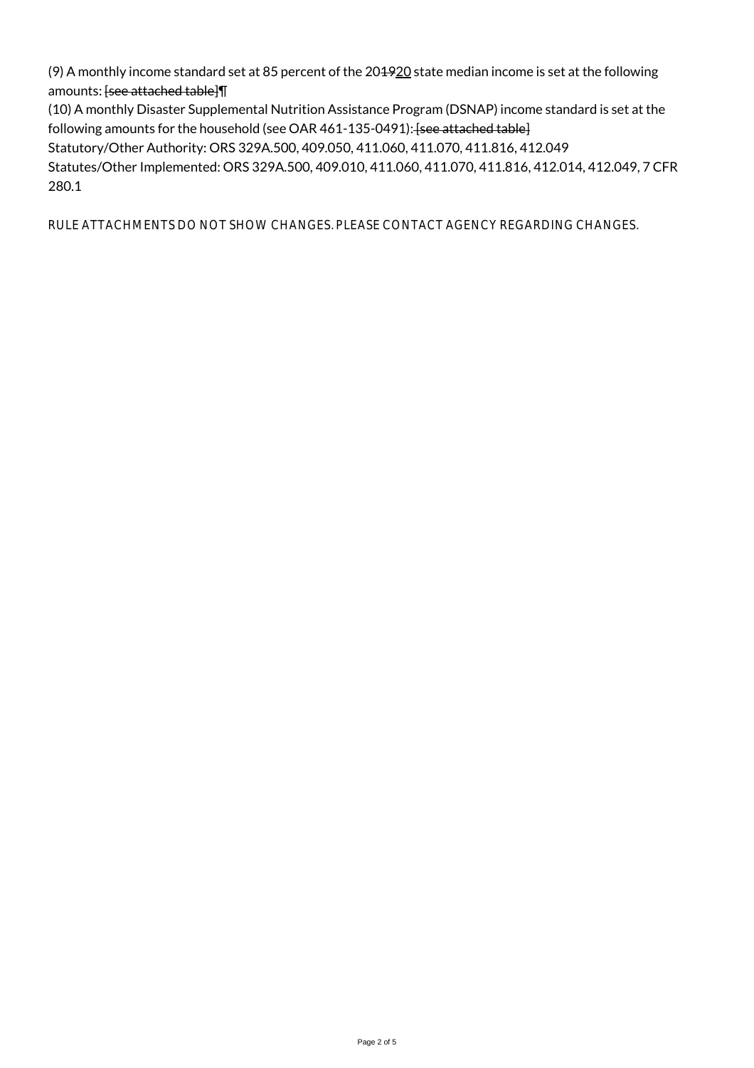(9) A monthly income standard set at 85 percent of the 201920 state median income is set at the following amounts: **[see attached table]** 

(10) A monthly Disaster Supplemental Nutrition Assistance Program (DSNAP) income standard is set at the following amounts for the household (see OAR 461-135-0491): [see attached table] Statutory/Other Authority: ORS 329A.500, 409.050, 411.060, 411.070, 411.816, 412.049 Statutes/Other Implemented: ORS 329A.500, 409.010, 411.060, 411.070, 411.816, 412.014, 412.049, 7 CFR 280.1

RULE ATTACHMENTS DO NOT SHOW CHANGES. PLEASE CONTACT AGENCY REGARDING CHANGES.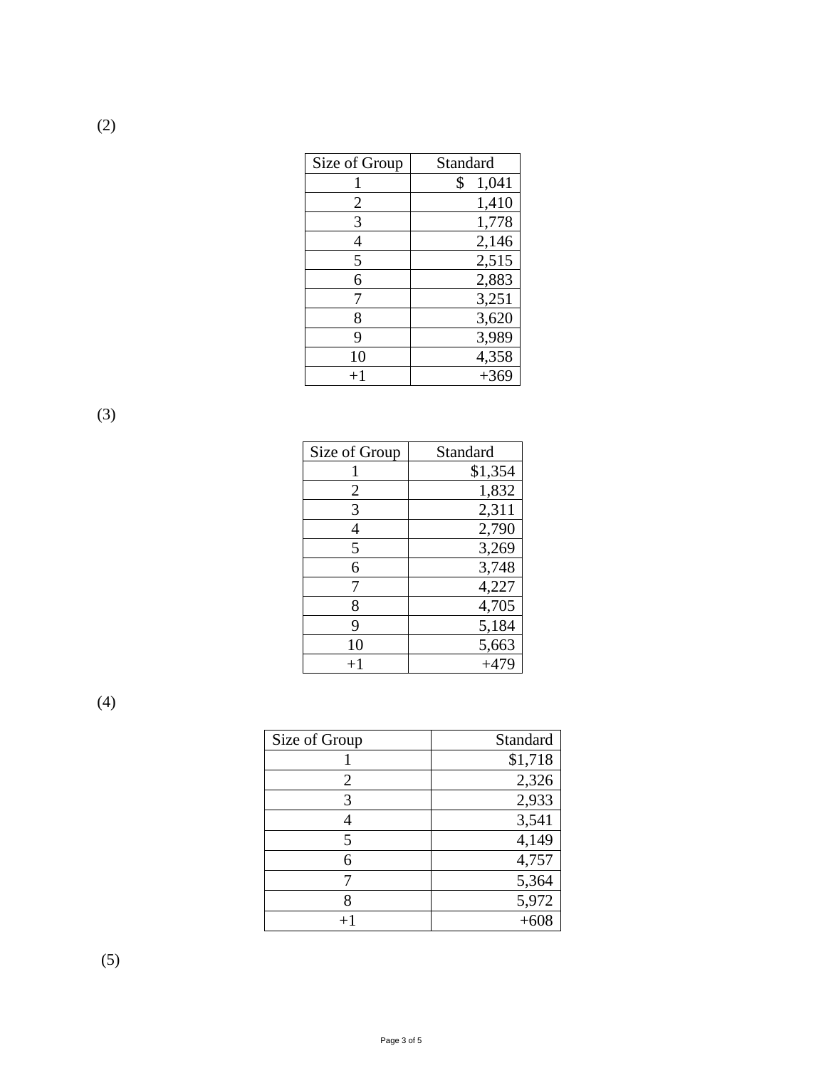| Size of Group  | Standard    |
|----------------|-------------|
|                | \$<br>1,041 |
| $\overline{2}$ | 1,410       |
| 3              | 1,778       |
| 4              | 2,146       |
| 5              | 2,515       |
| 6              | 2,883       |
| 7              | 3,251       |
| 8              | 3,620       |
| 9              | 3,989       |
| 10             | 4,358       |
| $+1$           | $+369$      |

(3)

(2)

| Size of Group | Standard |
|---------------|----------|
|               | \$1,354  |
| 2             | 1,832    |
| 3             | 2,311    |
| 4             | 2,790    |
| 5             | 3,269    |
| 6             | 3,748    |
| 7             | 4,227    |
| 8             | 4,705    |
| 9             | 5,184    |
| 10            | 5,663    |
| $^{+1}$       | $+479$   |

(4)

| Size of Group | Standard |
|---------------|----------|
|               | \$1,718  |
| 2             | 2,326    |
| 3             | 2,933    |
|               | 3,541    |
| 5             | 4,149    |
| 6             | 4,757    |
|               | 5,364    |
|               | 5,972    |
|               |          |

(5)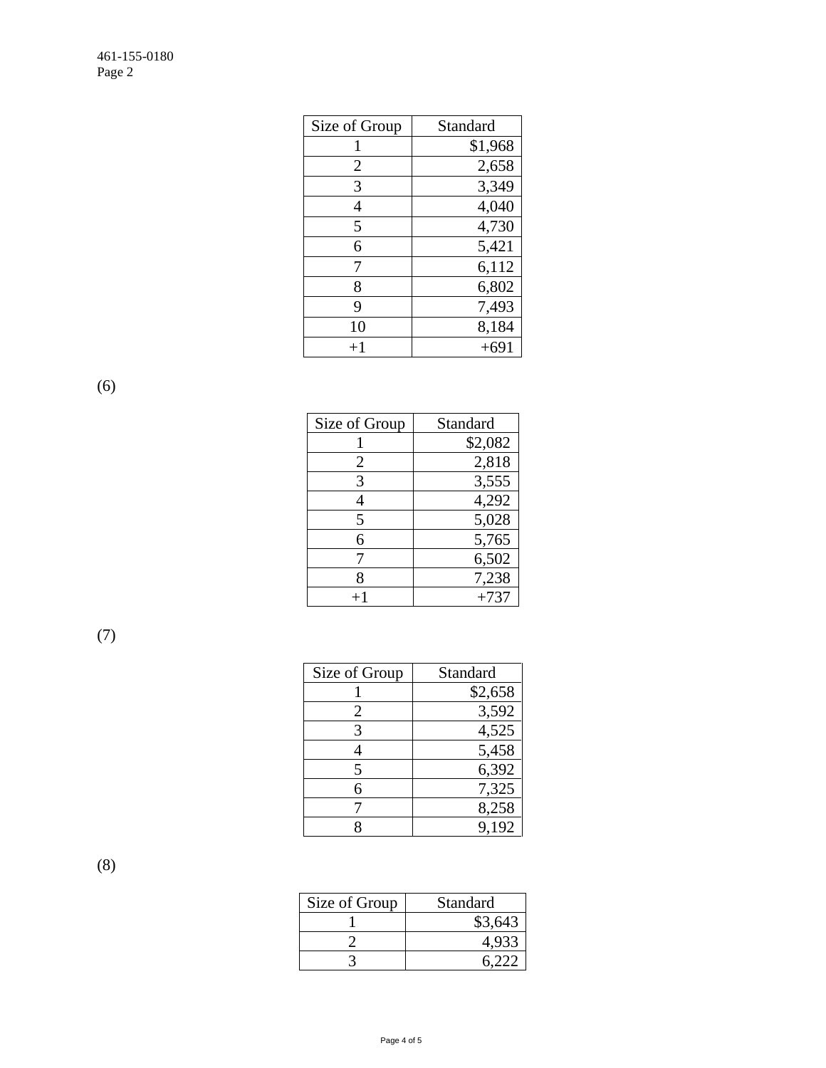| Size of Group | Standard |
|---------------|----------|
|               | \$1,968  |
| 2             | 2,658    |
| 3             | 3,349    |
| 4             | 4,040    |
| 5             | 4,730    |
| 6             | 5,421    |
| 7             | 6,112    |
| 8             | 6,802    |
| 9             | 7,493    |
| 10            | 8,184    |
| $+1$          | $+691$   |

(6)

| Size of Group | Standard |
|---------------|----------|
|               | \$2,082  |
| 2             | 2,818    |
| 3             | 3,555    |
|               | 4,292    |
| 5             | 5,028    |
| 6             | 5,765    |
|               | 6,502    |
| 8             | 7,238    |
|               | $+737$   |

(7)

| Size of Group | Standard |
|---------------|----------|
|               | \$2,658  |
| 2             | 3,592    |
| 3             | 4,525    |
|               | 5,458    |
| 5             | 6,392    |
| 6             | 7,325    |
|               | 8,258    |
|               | 9.192    |

(8)

| Size of Group | Standard |
|---------------|----------|
|               | \$3,643  |
|               |          |
|               |          |